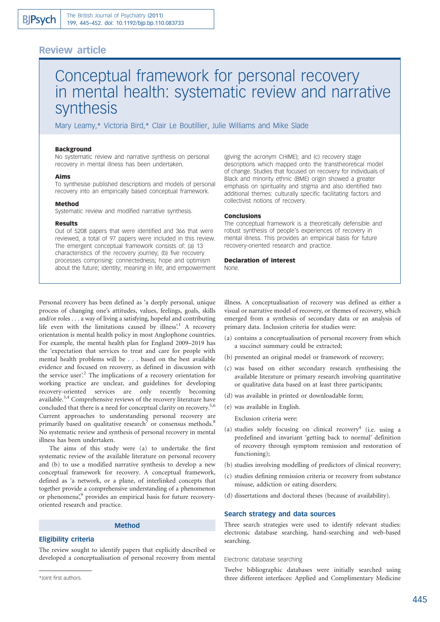# Review article

# Conceptual framework for personal recovery in mental health: systematic review and narrative synthesis

Mary Leamy,\* Victoria Bird,\* Clair Le Boutillier, Julie Williams and Mike Slade

#### Background

No systematic review and narrative synthesis on personal recovery in mental illness has been undertaken.

#### Aims

To synthesise published descriptions and models of personal recovery into an empirically based conceptual framework.

#### Method

Systematic review and modified narrative synthesis.

#### Results

Out of 5208 papers that were identified and 366 that were reviewed, a total of 97 papers were included in this review. The emergent conceptual framework consists of: (a) 13 characteristics of the recovery journey; (b) five recovery processes comprising: connectedness; hope and optimism about the future; identity; meaning in life; and empowerment (giving the acronym CHIME); and (c) recovery stage descriptions which mapped onto the transtheoretical model of change. Studies that focused on recovery for individuals of Black and minority ethnic (BME) origin showed a greater emphasis on spirituality and stigma and also identified two additional themes: culturally specific facilitating factors and collectivist notions of recovery.

#### Conclusions

The conceptual framework is a theoretically defensible and robust synthesis of people's experiences of recovery in mental illness. This provides an empirical basis for future recovery-oriented research and practice.

#### Declaration of interest

None.

Personal recovery has been defined as 'a deeply personal, unique process of changing one's attitudes, values, feelings, goals, skills and/or roles . . . a way of living a satisfying, hopeful and contributing life even with the limitations caused by illness'.<sup>1</sup> A recovery orientation is mental health policy in most Anglophone countries. For example, the mental health plan for England 2009–2019 has the 'expectation that services to treat and care for people with mental health problems will be . . . based on the best available evidence and focused on recovery, as defined in discussion with the service user'.<sup>2</sup> The implications of a recovery orientation for working practice are unclear, and guidelines for developing recovery-oriented services are only recently becoming available.<sup>3,4</sup> Comprehensive reviews of the recovery literature have concluded that there is a need for conceptual clarity on recovery.<sup>5,6</sup> Current approaches to understanding personal recovery are primarily based on qualitative research<sup>7</sup> or consensus methods.<sup>8</sup> No systematic review and synthesis of personal recovery in mental illness has been undertaken.

The aims of this study were (a) to undertake the first systematic review of the available literature on personal recovery and (b) to use a modified narrative synthesis to develop a new conceptual framework for recovery. A conceptual framework, defined as 'a network, or a plane, of interlinked concepts that together provide a comprehensive understanding of a phenomenon or phenomena',<sup>9</sup> provides an empirical basis for future recoveryoriented research and practice.

# Method

# Eligibility criteria

The review sought to identify papers that explicitly described or developed a conceptualisation of personal recovery from mental

\*Joint first authors.

illness. A conceptualisation of recovery was defined as either a visual or narrative model of recovery, or themes of recovery, which emerged from a synthesis of secondary data or an analysis of primary data. Inclusion criteria for studies were:

- (a) contains a conceptualisation of personal recovery from which a succinct summary could be extracted;
- (b) presented an original model or framework of recovery;
- (c) was based on either secondary research synthesising the available literature or primary research involving quantitative or qualitative data based on at least three participants;
- (d) was available in printed or downloadable form;
- (e) was available in English.

Exclusion criteria were:

- (a) studies solely focusing on clinical recovery<sup>4</sup> (i.e. using a predefined and invariant 'getting back to normal' definition of recovery through symptom remission and restoration of functioning);
- (b) studies involving modelling of predictors of clinical recovery;
- (c) studies defining remission criteria or recovery from substance misuse, addiction or eating disorders;
- (d) dissertations and doctoral theses (because of availability).

#### Search strategy and data sources

Three search strategies were used to identify relevant studies: electronic database searching, hand-searching and web-based searching.

Electronic database searching

Twelve bibliographic databases were initially searched using three different interfaces: Applied and Complimentary Medicine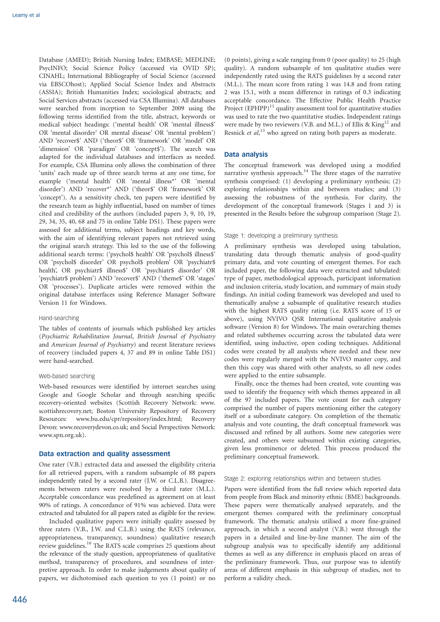Database (AMED); British Nursing Index; EMBASE; MEDLINE; PsycINFO; Social Science Policy (accessed via OVID SP); CINAHL; International Bibliography of Social Science (accessed via EBSCOhost); Applied Social Science Index and Abstracts (ASSIA); British Humanities Index; sociological abstracts; and Social Services abstracts (accessed via CSA Illumina). All databases were searched from inception to September 2009 using the following terms identified from the title, abstract, keywords or medical subject headings: ('mental health' OR 'mental illness\$' OR 'mental disorder' OR mental disease' OR 'mental problem') AND 'recover\$' AND ('theor\$' OR 'framework' OR 'model' OR 'dimension' OR 'paradigm' OR 'concept\$'). The search was adapted for the individual databases and interfaces as needed. For example, CSA Illumina only allows the combination of three 'units' each made up of three search terms at any one time, for example ('mental health' OR 'mental illness\*' OR 'mental disorder') AND 'recover\*' AND ('theor\$' OR 'framework' OR 'concept'). As a sensitivity check, ten papers were identified by the research team as highly influential, based on number of times cited and credibility of the authors (included papers 3, 9, 10, 19, 29, 34, 35, 40, 68 and 75 in online Table DS1). These papers were assessed for additional terms, subject headings and key words, with the aim of identifying relevant papers not retrieved using the original search strategy. This led to the use of the following additional search terms: ('psychol\$ health' OR 'psychol\$ illness\$' OR 'psychol\$ disorder' OR psychol\$ problem' OR 'psychiatr\$ health', OR psychiatr\$ illness\$' OR 'psychiatr\$ disorder' OR 'psychiatr\$ problem') AND 'recover\$' AND ('theme\$' OR 'stages' OR 'processes'). Duplicate articles were removed within the original database interfaces using Reference Manager Software Version 11 for Windows.

#### Hand-searching

The tables of contents of journals which published key articles (Psychiatric Rehabilitation Journal, British Journal of Psychiatry and American Journal of Psychiatry) and recent literature reviews of recovery (included papers 4, 37 and 89 in online Table DS1) were hand-searched.

# Web-based searching

Web-based resources were identified by internet searches using Google and Google Scholar and through searching specific recovery-oriented websites (Scottish Recovery Network: www. scottishrecovery.net; Boston University Repository of Recovery Resources: www.bu.edu/cpr/repository/index.html; Recovery Devon: www.recoverydevon.co.uk; and Social Perspectives Network: www.spn.org.uk).

#### Data extraction and quality assessment

One rater (V.B.) extracted data and assessed the eligibility criteria for all retrieved papers, with a random subsample of 88 papers independently rated by a second rater (J.W. or C.L.B.). Disagreements between raters were resolved by a third rater (M.L.). Acceptable concordance was predefined as agreement on at least 90% of ratings. A concordance of 91% was achieved. Data were extracted and tabulated for all papers rated as eligible for the review.

Included qualitative papers were initially quality assessed by three raters (V.B., J.W. and C.L.B.) using the RATS (relevance, appropriateness, transparency, soundness) qualitative research review guidelines.<sup>10</sup> The RATS scale comprises 25 questions about the relevance of the study question, appropriateness of qualitative method, transparency of procedures, and soundness of interpretive approach. In order to make judgements about quality of papers, we dichotomised each question to yes (1 point) or no

(0 points), giving a scale ranging from 0 (poor quality) to 25 (high quality). A random subsample of ten qualitative studies were independently rated using the RATS guidelines by a second rater (M.L.). The mean score from rating 1 was 14.8 and from rating 2 was 15.1, with a mean difference in ratings of 0.3 indicating acceptable concordance. The Effective Public Health Practice Project  $(EPHPP)^{11}$  quality assessment tool for quantitative studies was used to rate the two quantitative studies. Independent ratings were made by two reviewers (V.B. and M.L.) of Ellis & King<sup>12</sup> and Resnick et al,<sup>13</sup> who agreed on rating both papers as moderate.

#### Data analysis

The conceptual framework was developed using a modified narrative synthesis approach.<sup>14</sup> The three stages of the narrative synthesis comprised: (1) developing a preliminary synthesis; (2) exploring relationships within and between studies; and (3) assessing the robustness of the synthesis. For clarity, the development of the conceptual framework (Stages 1 and 3) is presented in the Results before the subgroup comparison (Stage 2).

#### Stage 1: developing a preliminary synthesis

A preliminary synthesis was developed using tabulation, translating data through thematic analysis of good-quality primary data, and vote counting of emergent themes. For each included paper, the following data were extracted and tabulated: type of paper, methodological approach, participant information and inclusion criteria, study location, and summary of main study findings. An initial coding framework was developed and used to thematically analyse a subsample of qualitative research studies with the highest RATS quality rating (i.e. RATS score of 15 or above), using NVIVO QSR International qualitative analysis software (Version 8) for Windows. The main overarching themes and related subthemes occurring across the tabulated data were identified, using inductive, open coding techniques. Additional codes were created by all analysts where needed and these new codes were regularly merged with the NVIVO master copy, and then this copy was shared with other analysts, so all new codes were applied to the entire subsample.

Finally, once the themes had been created, vote counting was used to identify the frequency with which themes appeared in all of the 97 included papers. The vote count for each category comprised the number of papers mentioning either the category itself or a subordinate category. On completion of the thematic analysis and vote counting, the draft conceptual framework was discussed and refined by all authors. Some new categories were created, and others were subsumed within existing categories, given less prominence or deleted. This process produced the preliminary conceptual framework.

#### Stage 2: exploring relationships within and between studies

Papers were identified from the full review which reported data from people from Black and minority ethnic (BME) backgrounds. These papers were thematically analysed separately, and the emergent themes compared with the preliminary conceptual framework. The thematic analysis utilised a more fine-grained approach, in which a second analyst (V.B.) went through the papers in a detailed and line-by-line manner. The aim of the subgroup analysis was to specifically identify any additional themes as well as any difference in emphasis placed on areas of the preliminary framework. Thus, our purpose was to identify areas of different emphasis in this subgroup of studies, not to perform a validity check.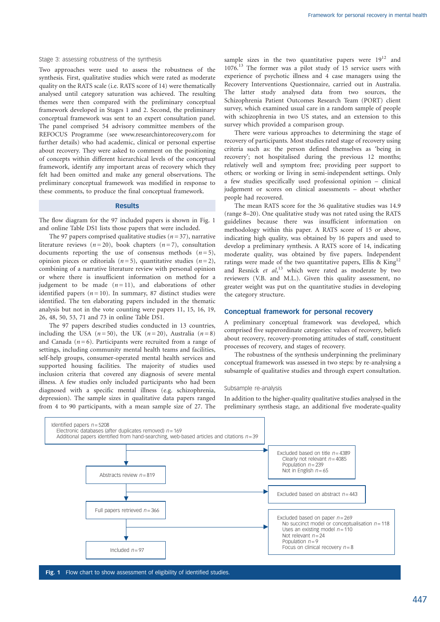#### Stage 3: assessing robustness of the synthesis

Two approaches were used to assess the robustness of the synthesis. First, qualitative studies which were rated as moderate quality on the RATS scale (i.e. RATS score of 14) were thematically analysed until category saturation was achieved. The resulting themes were then compared with the preliminary conceptual framework developed in Stages 1 and 2. Second, the preliminary conceptual framework was sent to an expert consultation panel. The panel comprised 54 advisory committee members of the REFOCUS Programme (see www.researchintorecovery.com for further details) who had academic, clinical or personal expertise about recovery. They were asked to comment on the positioning of concepts within different hierarchical levels of the conceptual framework, identify any important areas of recovery which they felt had been omitted and make any general observations. The preliminary conceptual framework was modified in response to these comments, to produce the final conceptual framework.

# Results

The flow diagram for the 97 included papers is shown in Fig. 1 and online Table DS1 lists those papers that were included.

The 97 papers comprised qualitative studies ( $n = 37$ ), narrative literature reviews  $(n=20)$ , book chapters  $(n=7)$ , consultation documents reporting the use of consensus methods  $(n=5)$ , opinion pieces or editorials  $(n=5)$ , quantitative studies  $(n=2)$ , combining of a narrative literature review with personal opinion or where there is insufficient information on method for a judgement to be made  $(n=11)$ , and elaborations of other identified papers  $(n = 10)$ . In summary, 87 distinct studies were identified. The ten elaborating papers included in the thematic analysis but not in the vote counting were papers 11, 15, 16, 19, 26, 48, 50, 53, 71 and 73 in online Table DS1.

The 97 papers described studies conducted in 13 countries, including the USA ( $n = 50$ ), the UK ( $n = 20$ ), Australia ( $n = 8$ ) and Canada ( $n = 6$ ). Participants were recruited from a range of settings, including community mental health teams and facilities, self-help groups, consumer-operated mental health services and supported housing facilities. The majority of studies used inclusion criteria that covered any diagnosis of severe mental illness. A few studies only included participants who had been diagnosed with a specific mental illness (e.g. schizophrenia, depression). The sample sizes in qualitative data papers ranged from 4 to 90 participants, with a mean sample size of 27. The

sample sizes in the two quantitative papers were  $19<sup>12</sup>$  and 1076.<sup>13</sup> The former was a pilot study of 15 service users with experience of psychotic illness and 4 case managers using the Recovery Interventions Questionnaire, carried out in Australia. The latter study analysed data from two sources, the Schizophrenia Patient Outcomes Research Team (PORT) client survey, which examined usual care in a random sample of people with schizophrenia in two US states, and an extension to this survey which provided a comparison group.

There were various approaches to determining the stage of recovery of participants. Most studies rated stage of recovery using criteria such as: the person defined themselves as 'being in recovery'; not hospitalised during the previous 12 months; relatively well and symptom free; providing peer support to others; or working or living in semi-independent settings. Only a few studies specifically used professional opinion – clinical judgement or scores on clinical assessments – about whether people had recovered.

The mean RATS score for the 36 qualitative studies was 14.9 (range 8–20). One qualitative study was not rated using the RATS guidelines because there was insufficient information on methodology within this paper. A RATS score of 15 or above, indicating high quality, was obtained by 16 papers and used to develop a preliminary synthesis. A RATS score of 14, indicating moderate quality, was obtained by five papers. Independent ratings were made of the two quantitative papers, Ellis & King<sup>12</sup> and Resnick et  $al$ ,<sup>13</sup> which were rated as moderate by two reviewers (V.B. and M.L.). Given this quality assessment, no greater weight was put on the quantitative studies in developing the category structure.

# Conceptual framework for personal recovery

A preliminary conceptual framework was developed, which comprised five superordinate categories: values of recovery, beliefs about recovery, recovery-promoting attitudes of staff, constituent processes of recovery, and stages of recovery.

The robustness of the synthesis underpinning the preliminary conceptual framework was assessed in two steps: by re-analysing a subsample of qualitative studies and through expert consultation.

#### Subsample re-analysis

In addition to the higher-quality qualitative studies analysed in the preliminary synthesis stage, an additional five moderate-quality



Fig. 1 Flow chart to show assessment of eligibility of identified studies.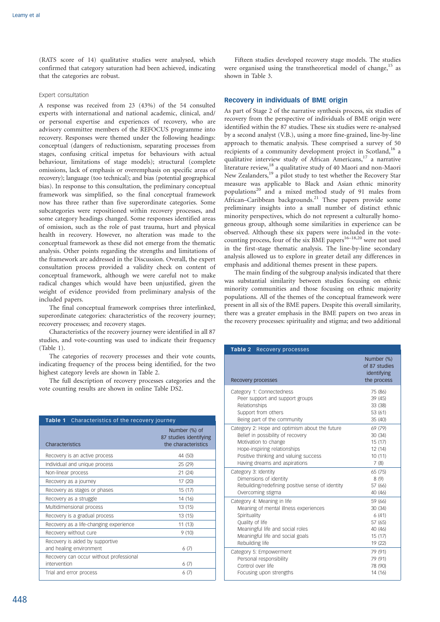(RATS score of 14) qualitative studies were analysed, which confirmed that category saturation had been achieved, indicating that the categories are robust.

#### Expert consultation

A response was received from 23 (43%) of the 54 consulted experts with international and national academic, clinical, and/ or personal expertise and experiences of recovery, who are advisory committee members of the REFOCUS programme into recovery. Responses were themed under the following headings: conceptual (dangers of reductionism, separating processes from stages, confusing critical impetus for behaviours with actual behaviour, limitations of stage models); structural (complete omissions, lack of emphasis or overemphasis on specific areas of recovery); language (too technical); and bias (potential geographical bias). In response to this consultation, the preliminary conceptual framework was simplified, so the final conceptual framework now has three rather than five superordinate categories. Some subcategories were repositioned within recovery processes, and some category headings changed. Some responses identified areas of omission, such as the role of past trauma, hurt and physical health in recovery. However, no alteration was made to the conceptual framework as these did not emerge from the thematic analysis. Other points regarding the strengths and limitations of the framework are addressed in the Discussion. Overall, the expert consultation process provided a validity check on content of conceptual framework, although we were careful not to make radical changes which would have been unjustified, given the weight of evidence provided from preliminary analysis of the included papers.

The final conceptual framework comprises three interlinked, superordinate categories: characteristics of the recovery journey; recovery processes; and recovery stages.

Characteristics of the recovery journey were identified in all 87 studies, and vote-counting was used to indicate their frequency (Table 1).

The categories of recovery processes and their vote counts, indicating frequency of the process being identified, for the two highest category levels are shown in Table 2.

The full description of recovery processes categories and the vote counting results are shown in online Table DS2.

| Table 1 Characteristics of the recovery journey |                                                                |  |  |  |  |
|-------------------------------------------------|----------------------------------------------------------------|--|--|--|--|
| Characteristics                                 | Number (%) of<br>87 studies identifying<br>the characteristics |  |  |  |  |
| Recovery is an active process                   | 44 (50)                                                        |  |  |  |  |
| Individual and unique process                   | 25 (29)                                                        |  |  |  |  |
| Non-linear process                              | 21 (24)                                                        |  |  |  |  |
| Recovery as a journey                           | 17 (20)                                                        |  |  |  |  |
| Recovery as stages or phases                    | 15 (17)                                                        |  |  |  |  |
| Recovery as a struggle                          | 14 (16)                                                        |  |  |  |  |
| Multidimensional process                        | 13 (15)                                                        |  |  |  |  |
| Recovery is a gradual process                   | 13 (15)                                                        |  |  |  |  |
| Recovery as a life-changing experience          | 11 (13)                                                        |  |  |  |  |
| Recovery without cure                           | 9(10)                                                          |  |  |  |  |
| Recovery is aided by supportive                 |                                                                |  |  |  |  |
| and healing environment                         | 6(7)                                                           |  |  |  |  |
| Recovery can occur without professional         |                                                                |  |  |  |  |
| intervention                                    | 6(7)                                                           |  |  |  |  |
| Trial and error process                         | 6(7)                                                           |  |  |  |  |

Fifteen studies developed recovery stage models. The studies were organised using the transtheoretical model of change,<sup>15</sup> as shown in Table 3.

# Recovery in individuals of BME origin

As part of Stage 2 of the narrative synthesis process, six studies of recovery from the perspective of individuals of BME origin were identified within the 87 studies. These six studies were re-analysed by a second analyst (V.B.), using a more fine-grained, line-by-line approach to thematic analysis. These comprised a survey of 50 recipients of a community development project in Scotland,<sup>16</sup> a qualitative interview study of African Americans,<sup>17</sup> a narrative literature review,<sup>18</sup> a qualitative study of 40 Maori and non-Maori New Zealanders,<sup>19</sup> a pilot study to test whether the Recovery Star measure was applicable to Black and Asian ethnic minority populations<sup>20</sup> and a mixed method study of 91 males from African–Caribbean backgrounds.<sup>21</sup> These papers provide some preliminary insights into a small number of distinct ethnic minority perspectives, which do not represent a culturally homogeneous group, although some similarities in experience can be observed. Although these six papers were included in the votecounting process, four of the six BME papers<sup>16–18,20</sup> were not used in the first-stage thematic analysis. The line-by-line secondary analysis allowed us to explore in greater detail any differences in emphasis and additional themes present in these papers.

The main finding of the subgroup analysis indicated that there was substantial similarity between studies focusing on ethnic minority communities and those focusing on ethnic majority populations. All of the themes of the conceptual framework were present in all six of the BME papers. Despite this overall similarity, there was a greater emphasis in the BME papers on two areas in the recovery processes: spirituality and stigma; and two additional

| Table 2<br><b>Recovery processes</b>                                  |                                                           |  |  |  |  |  |  |
|-----------------------------------------------------------------------|-----------------------------------------------------------|--|--|--|--|--|--|
| Recovery processes                                                    | Number (%)<br>of 87 studies<br>identifying<br>the process |  |  |  |  |  |  |
|                                                                       |                                                           |  |  |  |  |  |  |
| Category 1: Connectedness                                             | 75 (86)                                                   |  |  |  |  |  |  |
| Peer support and support groups                                       | 39 (45)                                                   |  |  |  |  |  |  |
| Relationships                                                         | 33 (38)                                                   |  |  |  |  |  |  |
| Support from others                                                   | 53 (61)                                                   |  |  |  |  |  |  |
| Being part of the community                                           | 35 (40)                                                   |  |  |  |  |  |  |
| Category 2: Hope and optimism about the future                        | 69 (79)                                                   |  |  |  |  |  |  |
| Belief in possibility of recovery                                     | 30(34)                                                    |  |  |  |  |  |  |
| Motivation to change                                                  | 15(17)                                                    |  |  |  |  |  |  |
| Hope-inspiring relationships<br>Positive thinking and valuing success | 12(14)<br>10(11)                                          |  |  |  |  |  |  |
| Having dreams and aspirations                                         | 7(8)                                                      |  |  |  |  |  |  |
|                                                                       |                                                           |  |  |  |  |  |  |
| Category 3: Identity<br>Dimensions of identity                        | 65 (75)                                                   |  |  |  |  |  |  |
| Rebuilding/redefining positive sense of identity                      | 8(9)<br>57 (66)                                           |  |  |  |  |  |  |
| Overcoming stigma                                                     | 40 (46)                                                   |  |  |  |  |  |  |
|                                                                       |                                                           |  |  |  |  |  |  |
| Category 4: Meaning in life<br>Meaning of mental illness experiences  | 59 (66)                                                   |  |  |  |  |  |  |
| Spirituality                                                          | 30(34)<br>6(41)                                           |  |  |  |  |  |  |
| Quality of life                                                       | 57 (65)                                                   |  |  |  |  |  |  |
| Meaningful life and social roles                                      | 40 (46)                                                   |  |  |  |  |  |  |
| Meaningful life and social goals                                      | 15(17)                                                    |  |  |  |  |  |  |
| Rebuilding life                                                       | 19 (22)                                                   |  |  |  |  |  |  |
| Category 5: Empowerment                                               | 79 (91)                                                   |  |  |  |  |  |  |
| Personal responsibility                                               | 79 (91)                                                   |  |  |  |  |  |  |
| Control over life                                                     | 78 (90)                                                   |  |  |  |  |  |  |
| Focusing upon strengths                                               | 14 (16)                                                   |  |  |  |  |  |  |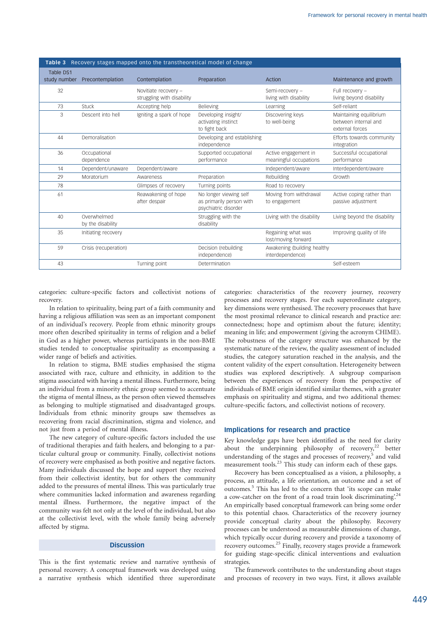| <b>Table 3</b> Recovery stages mapped onto the transtheoretical model of change |                                  |                                                    |                                                                            |                                                 |                                                                    |  |  |  |
|---------------------------------------------------------------------------------|----------------------------------|----------------------------------------------------|----------------------------------------------------------------------------|-------------------------------------------------|--------------------------------------------------------------------|--|--|--|
| Table DS1                                                                       |                                  |                                                    |                                                                            |                                                 |                                                                    |  |  |  |
| study number                                                                    | Precontemplation                 | Contemplation                                      | Preparation                                                                | Action                                          | Maintenance and growth                                             |  |  |  |
| 32                                                                              |                                  | Novitiate recovery -<br>struggling with disability |                                                                            | Semi-recovery -<br>living with disability       | Full recovery -<br>living beyond disability                        |  |  |  |
| 73                                                                              | Stuck                            | Accepting help                                     | Believing                                                                  | Learning                                        | Self-reliant                                                       |  |  |  |
| 3                                                                               | Descent into hell                | Igniting a spark of hope                           | Developing insight/<br>activating instinct<br>to fight back                | Discovering keys<br>to well-being               | Maintaining equilibrium<br>between internal and<br>external forces |  |  |  |
| 44                                                                              | Demoralisation                   |                                                    | Developing and establishing<br>independence                                |                                                 | Efforts towards community<br>integration                           |  |  |  |
| 36                                                                              | Occupational<br>dependence       |                                                    | Supported occupational<br>performance                                      | Active engagement in<br>meaningful occupations  | Successful occupational<br>performance                             |  |  |  |
| 14                                                                              | Dependent/unaware                | Dependent/aware                                    |                                                                            | Independent/aware                               | Interdependent/aware                                               |  |  |  |
| 29                                                                              | Moratorium                       | Awareness                                          | Preparation                                                                | Rebuilding                                      | Growth                                                             |  |  |  |
| 78                                                                              |                                  | Glimpses of recovery                               | Turning points                                                             | Road to recovery                                |                                                                    |  |  |  |
| 61                                                                              |                                  | Reawakening of hope<br>after despair               | No longer viewing self<br>as primarily person with<br>psychiatric disorder | Moving from withdrawal<br>to engagement         | Active coping rather than<br>passive adjustment                    |  |  |  |
| 40                                                                              | Overwhelmed<br>by the disability |                                                    | Struggling with the<br>disability                                          | Living with the disability                      | Living beyond the disability                                       |  |  |  |
| 35                                                                              | Initiating recovery              |                                                    |                                                                            | Regaining what was<br>lost/moving forward       | Improving quality of life                                          |  |  |  |
| 59                                                                              | Crisis (recuperation)            |                                                    | Decision (rebuilding<br>independence)                                      | Awakening (building healthy<br>interdependence) |                                                                    |  |  |  |
| 43                                                                              |                                  | Turning point                                      | Determination                                                              |                                                 | Self-esteem                                                        |  |  |  |

categories: culture-specific factors and collectivist notions of recovery.

In relation to spirituality, being part of a faith community and having a religious affiliation was seen as an important component of an individual's recovery. People from ethnic minority groups more often described spirituality in terms of religion and a belief in God as a higher power, whereas participants in the non-BME studies tended to conceptualise spirituality as encompassing a wider range of beliefs and activities.

In relation to stigma, BME studies emphasised the stigma associated with race, culture and ethnicity, in addition to the stigma associated with having a mental illness. Furthermore, being an individual from a minority ethnic group seemed to accentuate the stigma of mental illness, as the person often viewed themselves as belonging to multiple stigmatised and disadvantaged groups. Individuals from ethnic minority groups saw themselves as recovering from racial discrimination, stigma and violence, and not just from a period of mental illness.

The new category of culture-specific factors included the use of traditional therapies and faith healers, and belonging to a particular cultural group or community. Finally, collectivist notions of recovery were emphasised as both positive and negative factors. Many individuals discussed the hope and support they received from their collectivist identity, but for others the community added to the pressures of mental illness. This was particularly true where communities lacked information and awareness regarding mental illness. Furthermore, the negative impact of the community was felt not only at the level of the individual, but also at the collectivist level, with the whole family being adversely affected by stigma.

# **Discussion**

This is the first systematic review and narrative synthesis of personal recovery. A conceptual framework was developed using a narrative synthesis which identified three superordinate categories: characteristics of the recovery journey, recovery processes and recovery stages. For each superordinate category, key dimensions were synthesised. The recovery processes that have the most proximal relevance to clinical research and practice are: connectedness; hope and optimism about the future; identity; meaning in life; and empowerment (giving the acronym CHIME). The robustness of the category structure was enhanced by the systematic nature of the review, the quality assessment of included studies, the category saturation reached in the analysis, and the content validity of the expert consultation. Heterogeneity between studies was explored descriptively. A subgroup comparison between the experiences of recovery from the perspective of individuals of BME origin identified similar themes, with a greater emphasis on spirituality and stigma, and two additional themes: culture-specific factors, and collectivist notions of recovery.

#### Implications for research and practice

Key knowledge gaps have been identified as the need for clarity about the underpinning philosophy of recovery,<sup>22</sup> better understanding of the stages and processes of recovery,<sup>5</sup> and valid measurement tools.<sup>23</sup> This study can inform each of these gaps.

Recovery has been conceptualised as a vision, a philosophy, a process, an attitude, a life orientation, an outcome and a set of outcomes.<sup>5</sup> This has led to the concern that 'its scope can make a cow-catcher on the front of a road train look discriminating.<sup>24</sup> An empirically based conceptual framework can bring some order to this potential chaos. Characteristics of the recovery journey provide conceptual clarity about the philosophy. Recovery processes can be understood as measurable dimensions of change, which typically occur during recovery and provide a taxonomy of recovery outcomes.25 Finally, recovery stages provide a framework for guiding stage-specific clinical interventions and evaluation strategies.

The framework contributes to the understanding about stages and processes of recovery in two ways. First, it allows available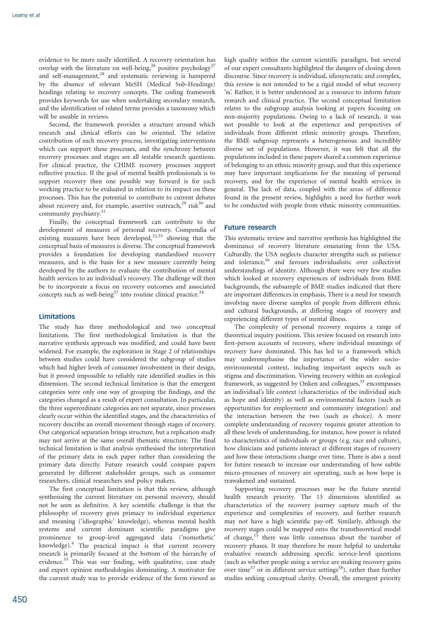evidence to be more easily identified. A recovery orientation has overlap with the literature on well-being,<sup>26</sup> positive psychology<sup>27</sup> and self-management,<sup>28</sup> and systematic reviewing is hampered by the absence of relevant MeSH (Medical Sub-Headings) headings relating to recovery concepts. The coding framework provides keywords for use when undertaking secondary research, and the identification of related terms provides a taxonomy which will be useable in reviews.

Second, the framework provides a structure around which research and clinical efforts can be oriented. The relative contribution of each recovery process, investigating interventions which can support these processes, and the synchrony between recovery processes and stages are all testable research questions. For clinical practice, the CHIME recovery processes support reflective practice. If the goal of mental health professionals is to support recovery then one possible way forward is for each working practice to be evaluated in relation to its impact on these processes. This has the potential to contribute to current debates about recovery and, for example, assertive outreach,<sup>29</sup> risk $30$  and community psychiatry.<sup>31</sup>

Finally, the conceptual framework can contribute to the development of measures of personal recovery. Compendia of existing measures have been developed, $32,33$  showing that the conceptual basis of measures is diverse. The conceptual framework provides a foundation for developing standardised recovery measures, and is the basis for a new measure currently being developed by the authors to evaluate the contribution of mental health services to an individual's recovery. The challenge will then be to incorporate a focus on recovery outcomes and associated concepts such as well-being<sup>27</sup> into routine clinical practice.<sup>34</sup>

#### Limitations

The study has three methodological and two conceptual limitations. The first methodological limitation is that the narrative synthesis approach was modified, and could have been widened. For example, the exploration in Stage 2 of relationships between studies could have considered the subgroup of studies which had higher levels of consumer involvement in their design, but it proved impossible to reliably rate identified studies in this dimension. The second technical limitation is that the emergent categories were only one way of grouping the findings, and the categories changed as a result of expert consultation. In particular, the three superordinate categories are not separate, since processes clearly occur within the identified stages, and the characteristics of recovery describe an overall movement through stages of recovery. Our categorical separation brings structure, but a replication study may not arrive at the same overall thematic structure. The final technical limitation is that analysis synthesised the interpretation of the primary data in each paper rather than considering the primary data directly. Future research could compare papers generated by different stakeholder groups, such as consumer researchers, clinical researchers and policy makers.

The first conceptual limitation is that this review, although synthesising the current literature on personal recovery, should not be seen as definitive. A key scientific challenge is that the philosophy of recovery gives primacy to individual experience and meaning ('idiographic' knowledge), whereas mental health systems and current dominant scientific paradigms give prominence to group-level aggregated data ('nomothetic' knowledge).4 The practical impact is that current recovery research is primarily focused at the bottom of the hierarchy of evidence.<sup>35</sup> This was our finding, with qualitative, case study and expert opinion methodologies dominating. A motivator for the current study was to provide evidence of the form viewed as

high quality within the current scientific paradigm, but several of our expert consultants highlighted the dangers of closing down discourse. Since recovery is individual, idiosyncratic and complex, this review is not intended to be a rigid model of what recovery 'is'. Rather, it is better understood as a resource to inform future research and clinical practice. The second conceptual limitation relates to the subgroup analysis looking at papers focusing on non-majority populations. Owing to a lack of research, it was not possible to look at the experience and perspectives of individuals from different ethnic minority groups. Therefore, the BME subgroup represents a heterogeneous and incredibly diverse set of populations. However, it was felt that all the populations included in these papers shared a common experience of belonging to an ethnic minority group, and that this experience may have important implications for the meaning of personal recovery, and for the experience of mental health services in general. The lack of data, coupled with the areas of difference found in the present review, highlights a need for further work to be conducted with people from ethnic minority communities.

#### Future research

This systematic review and narrative synthesis has highlighted the dominance of recovery literature emanating from the USA. Culturally, the USA neglects character strengths such as patience and tolerance,<sup>36</sup> and favours individualistic over collectivist understandings of identity. Although there were very few studies which looked at recovery experiences of individuals from BME backgrounds, the subsample of BME studies indicated that there are important differences in emphasis. There is a need for research involving more diverse samples of people from different ethnic and cultural backgrounds, at differing stages of recovery and experiencing different types of mental illness.

The complexity of personal recovery requires a range of theoretical inquiry positions. This review focused on research into first-person accounts of recovery, where individual meanings of recovery have dominated. This has led to a framework which may underemphasise the importance of the wider socioenvironmental context, including important aspects such as stigma and discrimination. Viewing recovery within an ecological framework, as suggested by Onken and colleagues,<sup>35</sup> encompasses an individual's life context (characteristics of the individual such as hope and identity) as well as environmental factors (such as opportunities for employment and community integration) and the interaction between the two (such as choice). A more complete understanding of recovery requires greater attention to all these levels of understanding, for instance, how power is related to characteristics of individuals or groups (e.g. race and culture), how clinicians and patients interact at different stages of recovery and how these interactions change over time. There is also a need for future research to increase our understanding of how subtle micro-processes of recovery are operating, such as how hope is reawakened and sustained.

Supporting recovery processes may be the future mental health research priority. The 13 dimensions identified as characteristics of the recovery journey capture much of the experience and complexities of recovery, and further research may not have a high scientific pay-off. Similarly, although the recovery stages could be mapped onto the transtheoretical model of change,<sup>15</sup> there was little consensus about the number of recovery phases. It may therefore be more helpful to undertake evaluative research addressing specific service-level questions (such as whether people using a service are making recovery gains over time<sup>37</sup> or in different service settings<sup>38</sup>), rather than further studies seeking conceptual clarity. Overall, the emergent priority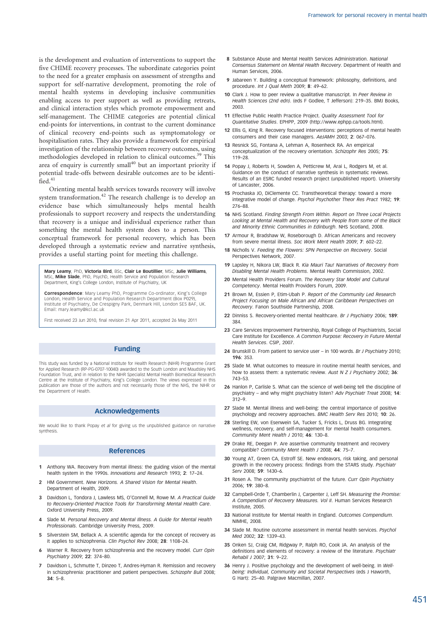is the development and evaluation of interventions to support the five CHIME recovery processes. The subordinate categories point to the need for a greater emphasis on assessment of strengths and support for self-narrative development, promoting the role of mental health systems in developing inclusive communities enabling access to peer support as well as providing retreats, and clinical interaction styles which promote empowerment and self-management. The CHIME categories are potential clinical end-points for interventions, in contrast to the current dominance of clinical recovery end-points such as symptomatology or hospitalisation rates. They also provide a framework for empirical investigation of the relationship between recovery outcomes, using methodologies developed in relation to clinical outcomes.39 This area of enquiry is currently small<sup>40</sup> but an important priority if potential trade-offs between desirable outcomes are to be identi- $\int$ fied.<sup>41</sup>

Orienting mental health services towards recovery will involve system transformation.<sup>42</sup> The research challenge is to develop an evidence base which simultaneously helps mental health professionals to support recovery and respects the understanding that recovery is a unique and individual experience rather than something the mental health system does to a person. This conceptual framework for personal recovery, which has been developed through a systematic review and narrative synthesis, provides a useful starting point for meeting this challenge.

Mary Leamy, PhD, Victoria Bird, BSc, Clair Le Boutillier, MSc, Julie Williams, MSc, Mike Slade, PhD, PsychD, Health Service and Population Research Department, King's College London, Institute of Psychiatry, UK

Correspondence: Mary Leamy PhD, Programme Co-ordinator, King's College London, Health Service and Population Research Department (Box P029), Institute of Psychiatry, De Crespigny Park, Denmark Hill, London SE5 8AF, UK. Email: mary.leamy@kcl.ac.uk

First received 23 Jun 2010, final revision 21 Apr 2011, accepted 26 May 2011

#### Funding

This study was funded by a National Institute for Health Research (NIHR) Programme Grant for Applied Research (RP-PG-0707-10040) awarded to the South London and Maudsley NHS Foundation Trust, and in relation to the NIHR Specialist Mental Health Biomedical Research Centre at the Institute of Psychiatry, King's College London. The views expressed in this publication are those of the authors and not necessarily those of the NHS, the NIHR or the Department of Health.

#### Acknowledgements

We would like to thank Popay et al for giving us the unpublished guidance on narrative synthesis.

#### References

- 1 Anthony WA. Recovery from mental illness: the guiding vision of the mental health system in the 1990s. Innovations and Research 1993; 2: 17–24.
- 2 HM Government. New Horizons. A Shared Vision for Mental Health. Department of Health, 2009.
- 3 Davidson L, Tondora J, Lawless MS, O'Connell M, Rowe M. A Practical Guide to Recovery-Oriented Practice Tools for Transforming Mental Health Care. Oxford University Press, 2009.
- Slade M. Personal Recovery and Mental Illness. A Guide for Mental Health Professionals. Cambridge University Press, 2009.
- 5 Silverstein SM, Bellack A. A scientific agenda for the concept of recovery as it applies to schizophrenia. Clin Psychol Rev 2008; 28: 1108–24.
- Warner R. Recovery from schizophrenia and the recovery model. Curr Opin Psychiatry 2009; 22: 374–80.
- Davidson L, Schmutte T, Dinzeo T, Andres-Hyman R. Remission and recovery in schizophrenia: practitioner and patient perspectives. Schizophr Bull 2008; 34: 5–8.
- 8 Substance Abuse and Mental Health Services Administration. National Consensus Statement on Mental Health Recovery. Department of Health and Human Services, 2006.
- 9 Jabareen Y. Building a conceptual framework: philosophy, definitions, and procedure. Int J Qual Meth 2009; 8: 49-62.
- 10 Clark J. How to peer review a qualitative manuscript. In Peer Review in Health Sciences (2nd edn). (eds F Godlee, T Jefferson): 219–35. BMJ Books, 2003.
- 11 Effective Public Health Practice Project. Quality Assessment Tool for Quantitative Studies. EPHPP, 2009 (http://www.ephpp.ca/tools.html).
- 12 Ellis G, King R. Recovery focused interventions: perceptions of mental health consumers and their case managers. AeJAMH 2003; 2: 067–076.
- 13 Resnick SG, Fontana A, Lehman A, Rosenheck RA. An empirical conceptualization of the recovery orientation. Schizophr Res 2005; 75: 119–28.
- 14 Popay J, Roberts H, Sowden A, Petticrew M, Arai L, Rodgers M, et al. Guidance on the conduct of narrative synthesis in systematic reviews. Results of an ESRC funded research project (unpublished report). University of Lancaster, 2006.
- 15 Prochaska JO, DiClemente CC. Transtheoretical therapy: toward a more integrative model of change. Psychol Psychother Theor Res Pract 1982; 19: 276–88.
- 16 NHS Scotland. Finding Strength From Within. Report on Three Local Projects Looking at Mental Health and Recovery with People from some of the Black and Minority Ethnic Communities in Edinburgh. NHS Scotland, 2008.
- 17 Armour R, Bradshaw W, Roseborough D. African Americans and recovery from severe mental illness. Soc Work Ment Health 2009; 7: 602–22.
- 18 Nicholls V. Feeding the Flowers: SPN Perspective on Recovery. Social Perspectives Network, 2007.
- 19 Lapsley H, Nikora LW, Black R, Kia Mauri Tau! Narratives of Recovery from Disabling Mental Health Problems. Mental Health Commission, 2002.
- 20 Mental Health Providers Forum. The Recovery Star Model and Cultural Competency. Mental Health Providers Forum, 2009.
- 21 Brown M, Essien P, Etim-Ubah P. Report of the Community Led Research Project Focusing on Male African and African Caribbean Perspectives on Recovery. Fanon Southside Partnership, 2008.
- 22 Dinniss S. Recovery-oriented mental healthcare. Br J Psychiatry 2006: 189: 384.
- 23 Care Services Improvement Partnership, Royal College of Psychiatrists, Social Care Institute for Excellence. A Common Purpose: Recovery in Future Mental Health Services. CSIP, 2007.
- 24 Brunskill D. From patient to service user in 100 words. Br J Psychiatry 2010; 196: 353.
- 25 Slade M. What outcomes to measure in routine mental health services, and how to assess them: a systematic review. Aust N Z J Psychiatry 2002: 36: 743–53.
- 26 Hanlon P, Carlisle S. What can the science of well-being tell the discipline of psychiatry – and why might psychiatry listen? Adv Psychiatr Treat 2008; 14: 312–9.
- 27 Slade M. Mental illness and well-being: the central importance of positive psychology and recovery approaches. BMC Health Serv Res 2010; 10: 26.
- 28 Sterling EW, von Esenwein SA, Tucker S, Fricks L, Druss BG. Integrating wellness, recovery, and self-management for mental health consumers. Community Ment Health J 2010; 46: 130–8.
- 29 Drake RE, Deegan P. Are assertive community treatment and recovery compatible? Community Ment Health J 2008; 44: 75–7.
- 30 Young AT, Green CA, Estroff SE. New endeavors, risk taking, and personal growth in the recovery process: findings from the STARS study. Psychiatr Serv 2008; 59: 1430–6.
- 31 Rosen A. The community psychiatrist of the future. Curr Opin Psychiatry 2006; 19: 380–8.
- 32 Campbell-Orde T, Chamberlin J, Carpenter J, Leff SH. Measuring the Promise: A Compendium of Recovery Measures. Vol II. Human Services Research Institute, 2005.
- 33 National Institute for Mental Health in England. Outcomes Compendium. NIMHE 2008
- 34 Slade M. Routine outcome assessment in mental health services. Psychol Med 2002; 32: 1339–43.
- 35 Onken SJ, Craig CM, Ridgway P, Ralph RO, Cook JA. An analysis of the definitions and elements of recovery: a review of the literature. Psychiatr Rehabil J 2007; 31: 9–22.
- 36 Henry J. Positive psychology and the development of well-being. In Wellbeing: Individual, Community and Societal Perspectives (eds J Haworth, G Hart): 25–40. Palgrave Macmillan, 2007.